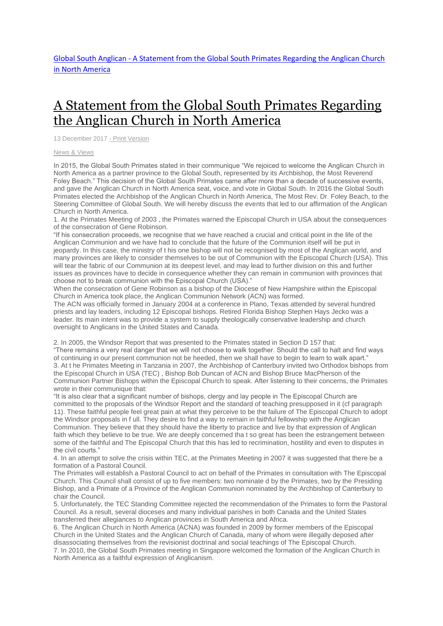## A Statement from the Global South Primates [Regarding](http://www.globalsouthanglican.org/index.php/blog/comments/a_statement_from_the_global_south_primates_regarding_the_anglican_church_in) the [Anglican](http://www.globalsouthanglican.org/index.php/blog/comments/a_statement_from_the_global_south_primates_regarding_the_anglican_church_in) Church in North America

13 December 2017 - Print [Version](http://globalsouthanglican.org/index.php/blog/printing/a_statement_from_the_global_south_primates_regarding_the_anglican_church_in)

News & [Views](http://globalsouthanglican.org/index.php/archives/category/news_views)

In 2015, the Global South Primates stated in their communique "We rejoiced to welcome the Anglican Church in North America as a partner province to the Global South, represented by its Archbishop, the Most Reverend Foley Beach." This decision of the Global South Primates came after more than a decade of successive events, and gave the Anglican Church in North America seat, voice, and vote in Global South. In 2016 the Global South Primates elected the Archbishop of the Anglican Church in North America, The Most Rev. Dr. Foley Beach, to the Steering Committee of Global South. We will hereby discuss the events that led to our affirmation of the Anglican Church in North America.

1. At the Primates Meeting of 2003 , the Primates warned the Episcopal Church in USA about the consequences of the consecration of Gene Robinson.

"If his consecration proceeds, we recognise that we have reached a crucial and critical point in the life of the Anglican Communion and we have had to conclude that the future of the Communion itself will be put in jeopardy. In this case, the ministry of t his one bishop will not be recognised by most of the Anglican world, and many provinces are likely to consider themselves to be out of Communion with the Episcopal Church (USA). This will tear the fabric of our Communion at its deepest level, and may lead to further division on this and further issues as provinces have to decide in consequence whether they can remain in communion with provinces that choose not to break communion with the Episcopal Church (USA)."

When the consecration of Gene Robinson as a bishop of the Diocese of New Hampshire within the Episcopal Church in America took place, the Anglican Communion Network (ACN) was formed.

The ACN was officially formed in January 2004 at a conference in Plano, Texas attended by several hundred priests and lay leaders, including 12 Episcopal bishops. Retired Florida Bishop Stephen Hays Jecko was a leader. Its main intent was to provide a system to supply theologically conservative leadership and church oversight to Anglicans in the United States and Canada.

2. In 2005, the Windsor Report that was presented to the Primates stated in Section D 157 that:

"There remains a very real danger that we will not choose to walk together. Should the call to halt and find ways of continuing in our present communion not be heeded, then we shall have to begin to learn to walk apart." 3. At t he Primates Meeting in Tanzania in 2007, the Archbishop of Canterbury invited two Orthodox bishops from the Episcopal Church in USA (TEC) , Bishop Bob Duncan of ACN and Bishop Bruce MacPherson of the Communion Partner Bishops within the Episcopal Church to speak. After listening to their concerns, the Primates wrote in their communique that:

"It is also clear that a significant number of bishops, clergy and lay people in The Episcopal Church are committed to the proposals of the Windsor Report and the standard of teaching presupposed in it (cf paragraph 11). These faithful people feel great pain at what they perceive to be the failure of The Episcopal Church to adopt the Windsor proposals in f ull. They desire to find a way to remain in faithful fellowship with the Anglican Communion. They believe that they should have the liberty to practice and live by that expression of Anglican faith which they believe to be true. We are deeply concerned tha t so great has been the estrangement between some of the faithful and The Episcopal Church that this has led to recrimination, hostility and even to disputes in the civil courts."

4. In an attempt to solve the crisis within TEC, at the Primates Meeting in 2007 it was suggested that there be a formation of a Pastoral Council.

The Primates will establish a Pastoral Council to act on behalf of the Primates in consultation with The Episcopal Church. This Council shall consist of up to five members: two nominate d by the Primates, two by the Presiding Bishop, and a Primate of a Province of the Anglican Communion nominated by the Archbishop of Canterbury to chair the Council.

5. Unfortunately, the TEC Standing Committee rejected the recommendation of the Primates to form the Pastoral Council. As a result, several dioceses and many individual parishes in both Canada and the United States transferred their allegiances to Anglican provinces in South America and Africa.

6. The Anglican Church in North America (ACNA) was founded in 2009 by former members of the Episcopal Church in the United States and the Anglican Church of Canada, many of whom were illegally deposed after disassociating themselves from the revisionist doctrinal and social teachings of The Episcopal Church. 7. In 2010, the Global South Primates meeting in Singapore welcomed the formation of the Anglican Church in North America as a faithful expression of Anglicanism.